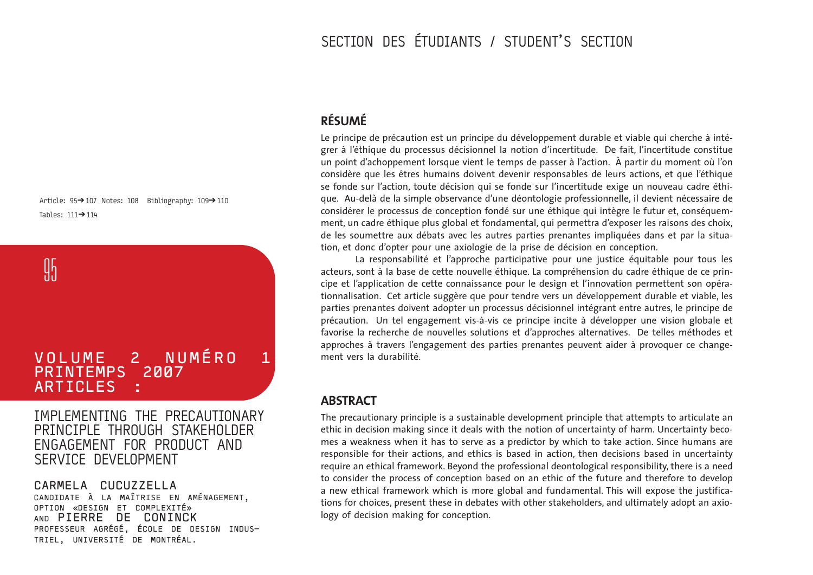# SECTION DES ÉTUDIANTS / STUDENT'S SECTION

## **RÉSUMÉ**

Le principe de précaution est un principe du développement durable et viable qui cherche à intégrer à l'éthique du processus décisionnel la notion d'incertitude. De fait, l'incertitude constitue un point d'achoppement lorsque vient le temps de passer à l'action. À partir du moment où l'on considère que les êtres humains doivent devenir responsables de leurs actions, et que l'éthique se fonde sur l'action, toute décision qui se fonde sur l'incertitude exige un nouveau cadre éthique. Au-delà de la simple observance d'une déontologie professionnelle, il devient nécessaire de considérer le processus de conception fondé sur une éthique qui intègre le futur et, conséquemment, un cadre éthique plus global et fondamental, qui permettra d'exposer les raisons des choix, de les soumettre aux débats avec les autres parties prenantes impliquées dans et par la situation, et donc d'opter pour une axiologie de la prise de décision en conception.

La responsabilité et l'approche participative pour une justice équitable pour tous les acteurs, sont à la base de cette nouvelle éthique. La compréhension du cadre éthique de ce principe et l'application de cette connaissance pour le design et l'innovation permettent son opérationnalisation. Cet article suggère que pour tendre vers un développement durable et viable, les parties prenantes doivent adopter un processus décisionnel intégrant entre autres, le principe de précaution. Un tel engagement vis-à-vis ce principe incite à développer une vision globale et favorise la recherche de nouvelles solutions et d'approches alternatives. De telles méthodes et approches à travers l'engagement des parties prenantes peuvent aider à provoquer ce changement vers la durabilité.

### **ABSTRACT**

The precautionary principle is a sustainable development principle that attempts to articulate an ethic in decision making since it deals with the notion of uncertainty of harm. Uncertainty becomes a weakness when it has to serve as a predictor by which to take action. Since humans are responsible for their actions, and ethics is based in action, then decisions based in uncertainty require an ethical framework. Beyond the professional deontological responsibility, there is a need to consider the process of conception based on an ethic of the future and therefore to develop a new ethical framework which is more global and fundamental. This will expose the justifications for choices, present these in debates with other stakeholders, and ultimately adopt an axiology of decision making for conception.

Article:  $95 \rightarrow 107$  Notes: 108 Bibliography:  $109 \rightarrow 110$ Tables:  $111 \rightarrow 114$ 

**95** 

# VOLUME 2 NUMÉRO 1 PRINTEMPS 2007 **ARTICLES**

IMPLEMENTING THE PRECAUTIONARY PRINCIPLE THROUGH STAKEHOLDER ENGAGEMENT FOR PRODUCT AND SERVICE DEVELOPMENT

CARMELA CUCUZZELLA CANDIDATE À LA MAÎTRISE EN AMÉNAGEMENT, OPTION «DESIGN ET COMPLEXITÉ» PIERRE DE CONINCK PROFESSEUR AGRÉGÉ, ÉCOLE DE DESIGN INDUS-TRIEL, UNIVERSITÉ DE MONTRÉAL.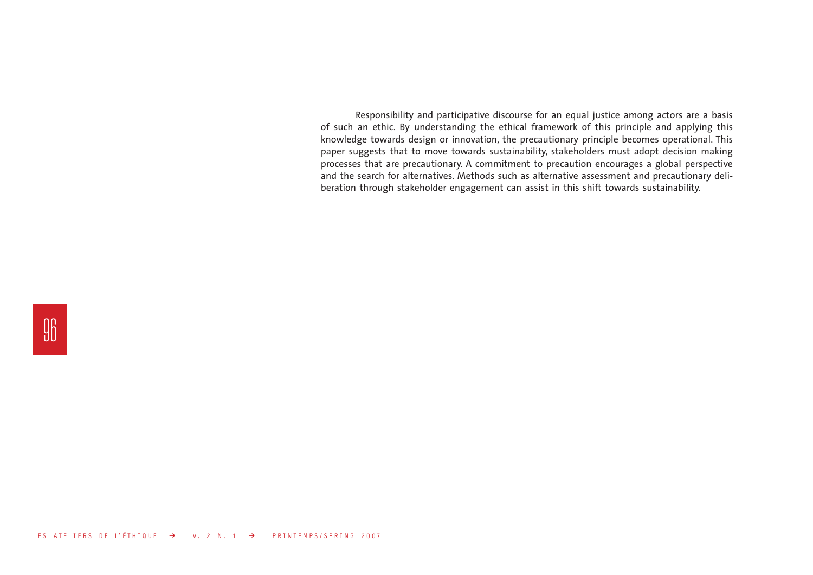Responsibility and participative discourse for an equal justice among actors are a basis of such an ethic. By understanding the ethical framework of this principle and applying this knowledge towards design or innovation, the precautionary principle becomes operational. This paper suggests that to move towards sustainability, stakeholders must adopt decision making processes that are precautionary. A commitment to precaution encourages a global perspective and the search for alternatives. Methods such as alternative assessment and precautionary deliberation through stakeholder engagement can assist in this shift towards sustainability.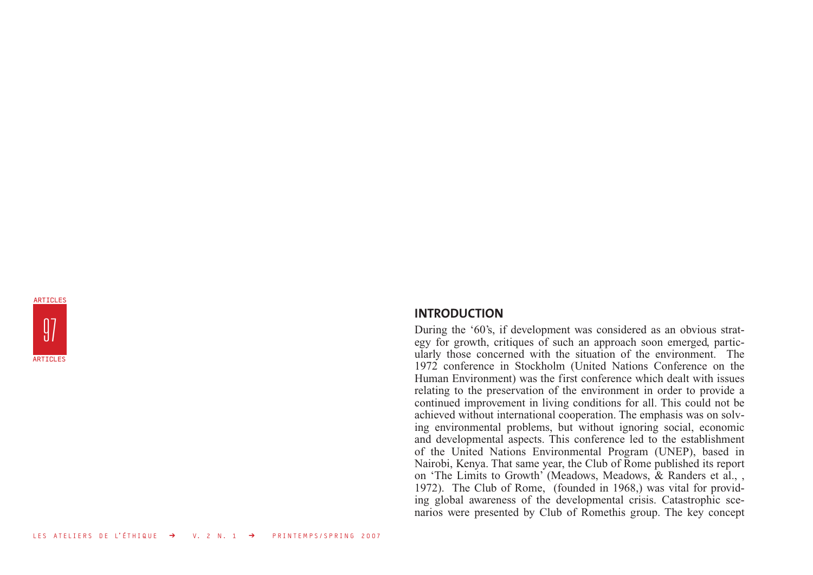

### **INTRODUCTION**

During the '60's, if development was considered as an obvious strategy for growth, critiques of such an approach soon emerged, particularly those concerned with the situation of the environment. The 1972 conference in Stockholm (United Nations Conference on the Human Environment) was the first conference which dealt with issues relating to the preservation of the environment in order to provide a continued improvement in living conditions for all. This could not be achieved without international cooperation. The emphasis was on solving environmental problems, but without ignoring social, economic and developmental aspects. This conference led to the establishment of the United Nations Environmental Program (UNEP), based in Nairobi, Kenya. That same year, the Club of Rome published its report on 'The Limits to Growth' (Meadows, Meadows, & Randers et al., , 1972). The Club of Rome, (founded in 1968,) was vital for providing global awareness of the developmental crisis. Catastrophic scenarios were presented by Club of Romethis group. The key concept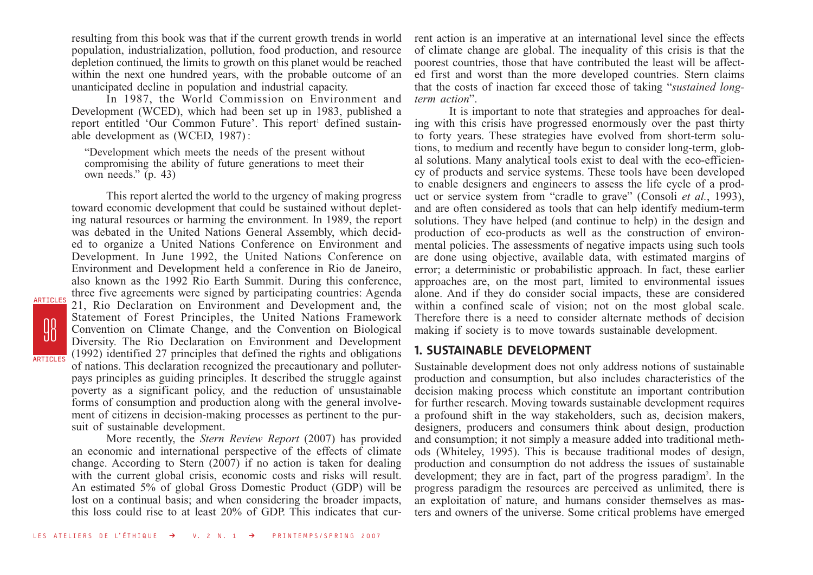resulting from this book was that if the current growth trends in world population, industrialization, pollution, food production, and resource depletion continued, the limits to growth on this planet would be reached within the next one hundred years, with the probable outcome of an unanticipated decline in population and industrial capacity.

In 1987, the World Commission on Environment and Development (WCED), which had been set up in 1983, published a report entitled 'Our Common Future'. This report' defined sustainable development as (WCED, 1987) :

"Development which meets the needs of the present without compromising the ability of future generations to meet their own needs."  $(p. 43)$ 

This report alerted the world to the urgency of making progress toward economic development that could be sustained without depleting natural resources or harming the environment. In 1989, the report was debated in the United Nations General Assembly, which decided to organize a United Nations Conference on Environment and Development. In June 1992, the United Nations Conference on Environment and Development held a conference in Rio de Janeiro, also known as the 1992 Rio Earth Summit. During this conference, three five agreements were signed by participating countries: Agenda 21, Rio Declaration on Environment and Development and, the Statement of Forest Principles, the United Nations Framework Convention on Climate Change, and the Convention on Biological Diversity. The Rio Declaration on Environment and Development (1992) identified 27 principles that defined the rights and obligations of nations. This declaration recognized the precautionary and polluterpays principles as guiding principles. It described the struggle against poverty as a significant policy, and the reduction of unsustainable forms of consumption and production along with the general involvement of citizens in decision-making processes as pertinent to the pursuit of sustainable development.

98<br>98

ARTICLES

ARTICLES

More recently, the *Stern Review Report* (2007) has provided an economic and international perspective of the effects of climate change. According to Stern  $(2007)$  if no action is taken for dealing with the current global crisis, economic costs and risks will result. An estimated 5% of global Gross Domestic Product (GDP) will be lost on a continual basis; and when considering the broader impacts, this loss could rise to at least 20% of GDP. This indicates that current action is an imperative at an international level since the effects of climate change are global. The inequality of this crisis is that the poorest countries, those that have contributed the least will be affected first and worst than the more developed countries. Stern claims that the costs of inaction far exceed those of taking "*sustained longterm action*".

It is important to note that strategies and approaches for dealing with this crisis have progressed enormously over the past thirty to forty years. These strategies have evolved from short-term solutions, to medium and recently have begun to consider long-term, global solutions. Many analytical tools exist to deal with the eco-efficiency of products and service systems. These tools have been developed to enable designers and engineers to assess the life cycle of a product or service system from "cradle to grave" (Consoli *et al.*, 1993), and are often considered as tools that can help identify medium-term solutions. They have helped (and continue to help) in the design and production of eco-products as well as the construction of environmental policies. The assessments of negative impacts using such tools are done using objective, available data, with estimated margins of error; a deterministic or probabilistic approach. In fact, these earlier approaches are, on the most part, limited to environmental issues alone. And if they do consider social impacts, these are considered within a confined scale of vision; not on the most global scale. Therefore there is a need to consider alternate methods of decision making if society is to move towards sustainable development.

### **1. SUSTAINABLE DEVELOPMENT**

Sustainable development does not only address notions of sustainable production and consumption, but also includes characteristics of the decision making process which constitute an important contribution for further research. Moving towards sustainable development requires a profound shift in the way stakeholders, such as, decision makers, designers, producers and consumers think about design, production and consumption; it not simply a measure added into traditional methods (Whiteley, 1995). This is because traditional modes of design, production and consumption do not address the issues of sustainable development; they are in fact, part of the progress paradigm<sup>2</sup>. In the progress paradigm the resources are perceived as unlimited, there is an exploitation of nature, and humans consider themselves as masters and owners of the universe. Some critical problems have emerged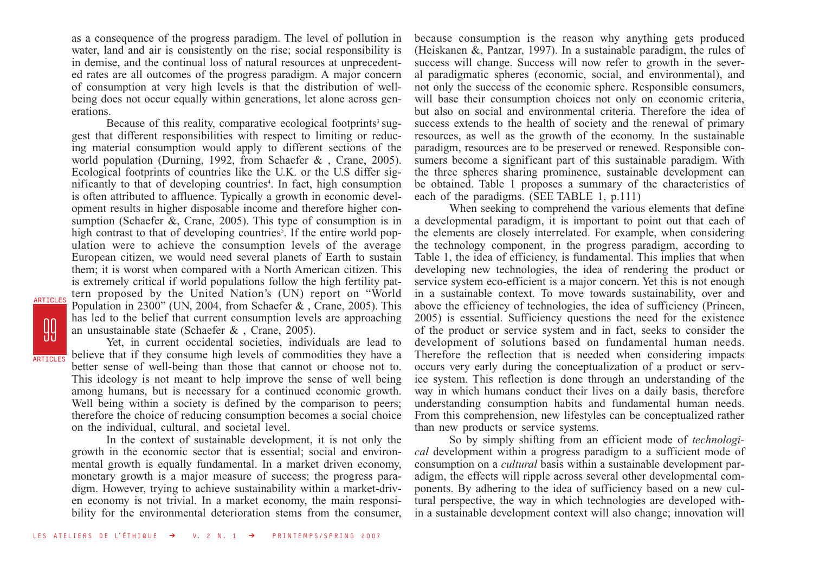as a consequence of the progress paradigm. The level of pollution in water, land and air is consistently on the rise; social responsibility is in demise, and the continual loss of natural resources at unprecedented rates are all outcomes of the progress paradigm. A major concern of consumption at very high levels is that the distribution of wellbeing does not occur equally within generations, let alone across generations.

Because of this reality, comparative ecological footprints<sup>3</sup> suggest that different responsibilities with respect to limiting or reducing material consumption would apply to different sections of the world population (Durning, 1992, from Schaefer & , Crane, 2005). Ecological footprints of countries like the U.K. or the U.S differ significantly to that of developing countries<sup>4</sup>. In fact, high consumption is often attributed to affluence. Typically a growth in economic development results in higher disposable income and therefore higher consumption (Schaefer &, Crane, 2005). This type of consumption is in high contrast to that of developing countries<sup>5</sup>. If the entire world population were to achieve the consumption levels of the average European citizen, we would need several planets of Earth to sustain them; it is worst when compared with a North American citizen. This is extremely critical if world populations follow the high fertility pattern proposed by the United Nation's (UN) report on "World Population in 2300" (UN, 2004, from Schaefer & , Crane, 2005). This has led to the belief that current consumption levels are approaching an unsustainable state (Schaefer & , Crane, 2005).

Yet, in current occidental societies, individuals are lead to believe that if they consume high levels of commodities they have a better sense of well-being than those that cannot or choose not to. This ideology is not meant to help improve the sense of well being among humans, but is necessary for a continued economic growth. Well being within a society is defined by the comparison to peers; therefore the choice of reducing consumption becomes a social choice on the individual, cultural, and societal level.

**99** 

ARTICLES

ARTICLES

In the context of sustainable development, it is not only the growth in the economic sector that is essential; social and environmental growth is equally fundamental. In a market driven economy, monetary growth is a major measure of success; the progress paradigm. However, trying to achieve sustainability within a market-driven economy is not trivial. In a market economy, the main responsibility for the environmental deterioration stems from the consumer, because consumption is the reason why anything gets produced (Heiskanen &, Pantzar, 1997). In a sustainable paradigm, the rules of success will change. Success will now refer to growth in the several paradigmatic spheres (economic, social, and environmental), and not only the success of the economic sphere. Responsible consumers, will base their consumption choices not only on economic criteria, but also on social and environmental criteria. Therefore the idea of success extends to the health of society and the renewal of primary resources, as well as the growth of the economy. In the sustainable paradigm, resources are to be preserved or renewed. Responsible consumers become a significant part of this sustainable paradigm. With the three spheres sharing prominence, sustainable development can be obtained. Table 1 proposes a summary of the characteristics of each of the paradigms. (SEE TABLE 1, p.111)

When seeking to comprehend the various elements that define a developmental paradigm, it is important to point out that each of the elements are closely interrelated. For example, when considering the technology component, in the progress paradigm, according to Table 1, the idea of efficiency, is fundamental. This implies that when developing new technologies, the idea of rendering the product or service system eco-efficient is a major concern. Yet this is not enough in a sustainable context. To move towards sustainability, over and above the efficiency of technologies, the idea of sufficiency (Princen, 2005) is essential. Sufficiency questions the need for the existence of the product or service system and in fact, seeks to consider the development of solutions based on fundamental human needs. Therefore the reflection that is needed when considering impacts occurs very early during the conceptualization of a product or service system. This reflection is done through an understanding of the way in which humans conduct their lives on a daily basis, therefore understanding consumption habits and fundamental human needs. From this comprehension, new lifestyles can be conceptualized rather than new products or service systems.

So by simply shifting from an efficient mode of *technological* development within a progress paradigm to a sufficient mode of consumption on a *cultural* basis within a sustainable development paradigm, the effects will ripple across several other developmental components. By adhering to the idea of sufficiency based on a new cultural perspective, the way in which technologies are developed within a sustainable development context will also change; innovation will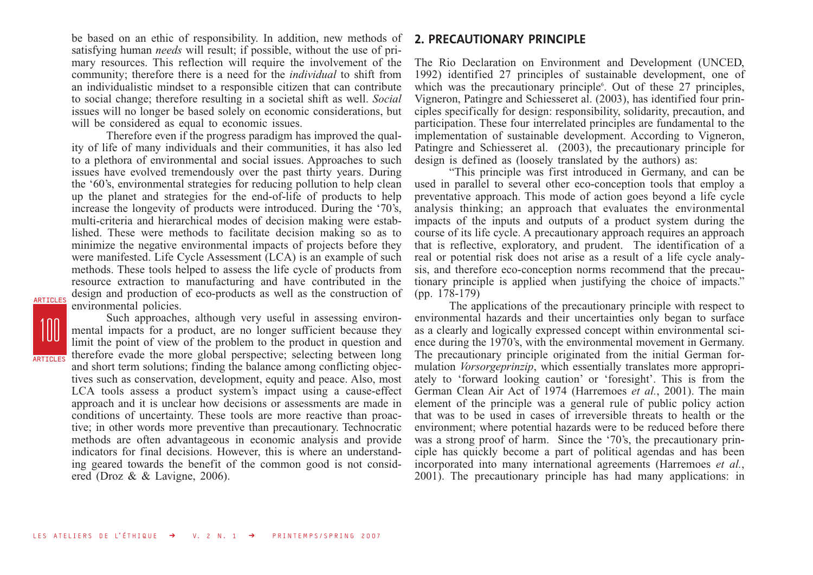be based on an ethic of responsibility. In addition, new methods of satisfying human *needs* will result; if possible, without the use of primary resources. This reflection will require the involvement of the community; therefore there is a need for the *individual* to shift from an individualistic mindset to a responsible citizen that can contribute to social change; therefore resulting in a societal shift as well. *Social* issues will no longer be based solely on economic considerations, but will be considered as equal to economic issues.

Therefore even if the progress paradigm has improved the quality of life of many individuals and their communities, it has also led to a plethora of environmental and social issues. Approaches to such issues have evolved tremendously over the past thirty years. During the '60's, environmental strategies for reducing pollution to help clean up the planet and strategies for the end-of-life of products to help increase the longevity of products were introduced. During the '70's, multi-criteria and hierarchical modes of decision making were established. These were methods to facilitate decision making so as to minimize the negative environmental impacts of projects before they were manifested. Life Cycle Assessment (LCA) is an example of such methods. These tools helped to assess the life cycle of products from resource extraction to manufacturing and have contributed in the design and production of eco-products as well as the construction of environmental policies.

100 **ARTICLES** 

ARTICLES

Such approaches, although very useful in assessing environmental impacts for a product, are no longer sufficient because they limit the point of view of the problem to the product in question and therefore evade the more global perspective; selecting between long and short term solutions; finding the balance among conflicting objectives such as conservation, development, equity and peace. Also, most LCA tools assess a product system's impact using a cause-effect approach and it is unclear how decisions or assessments are made in conditions of uncertainty. These tools are more reactive than proactive; in other words more preventive than precautionary. Technocratic methods are often advantageous in economic analysis and provide indicators for final decisions. However, this is where an understanding geared towards the benefit of the common good is not considered (Droz & & Lavigne, 2006).

### **2. PRECAUTIONARY PRINCIPLE**

The Rio Declaration on Environment and Development (UNCED, 1992) identified 27 principles of sustainable development, one of which was the precautionary principle<sup>6</sup>. Out of these 27 principles, Vigneron, Patingre and Schiesseret al. (2003), has identified four principles specifically for design: responsibility, solidarity, precaution, and participation. These four interrelated principles are fundamental to the implementation of sustainable development. According to Vigneron, Patingre and Schiesseret al. (2003), the precautionary principle for design is defined as (loosely translated by the authors) as:

"This principle was first introduced in Germany, and can be used in parallel to several other eco-conception tools that employ a preventative approach. This mode of action goes beyond a life cycle analysis thinking; an approach that evaluates the environmental impacts of the inputs and outputs of a product system during the course of its life cycle. A precautionary approach requires an approach that is reflective, exploratory, and prudent. The identification of a real or potential risk does not arise as a result of a life cycle analysis, and therefore eco-conception norms recommend that the precautionary principle is applied when justifying the choice of impacts." (pp. 178-179)

The applications of the precautionary principle with respect to environmental hazards and their uncertainties only began to surface as a clearly and logically expressed concept within environmental science during the 1970's, with the environmental movement in Germany. The precautionary principle originated from the initial German formulation *Vorsorgeprinzip*, which essentially translates more appropriately to 'forward looking caution' or 'foresight'. This is from the German Clean Air Act of 1974 (Harremoes *et al.*, 2001). The main element of the principle was a general rule of public policy action that was to be used in cases of irreversible threats to health or the environment; where potential hazards were to be reduced before there was a strong proof of harm. Since the '70's, the precautionary principle has quickly become a part of political agendas and has been incorporated into many international agreements (Harremoes *et al.*, 2001). The precautionary principle has had many applications: in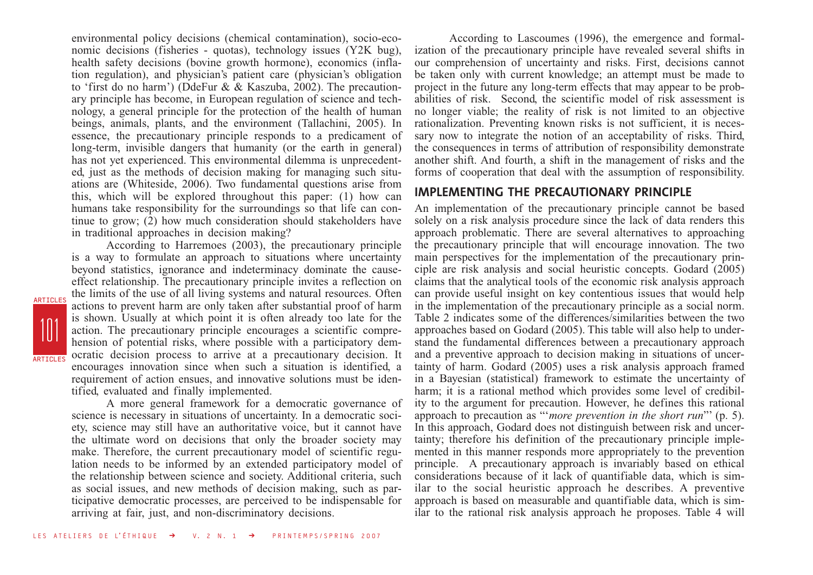environmental policy decisions (chemical contamination), socio-economic decisions (fisheries - quotas), technology issues (Y2K bug), health safety decisions (bovine growth hormone), economics (inflation regulation), and physician's patient care (physician's obligation to 'first do no harm') (DdeFur & & Kaszuba, 2002). The precautionary principle has become, in European regulation of science and technology, a general principle for the protection of the health of human beings, animals, plants, and the environment (Tallachini, 2005). In essence, the precautionary principle responds to a predicament of long-term, invisible dangers that humanity (or the earth in general) has not yet experienced. This environmental dilemma is unprecedented, just as the methods of decision making for managing such situations are (Whiteside, 2006). Two fundamental questions arise from this, which will be explored throughout this paper: (1) how can humans take responsibility for the surroundings so that life can continue to grow; (2) how much consideration should stakeholders have in traditional approaches in decision making?

According to Harremoes (2003), the precautionary principle is a way to formulate an approach to situations where uncertainty beyond statistics, ignorance and indeterminacy dominate the causeeffect relationship. The precautionary principle invites a reflection on the limits of the use of all living systems and natural resources. Often actions to prevent harm are only taken after substantial proof of harm is shown. Usually at which point it is often already too late for the action. The precautionary principle encourages a scientific comprehension of potential risks, where possible with a participatory democratic decision process to arrive at a precautionary decision. It encourages innovation since when such a situation is identified, a requirement of action ensues, and innovative solutions must be identified, evaluated and finally implemented.

101

ARTICLES

**ARTICLES** 

A more general framework for a democratic governance of science is necessary in situations of uncertainty. In a democratic society, science may still have an authoritative voice, but it cannot have the ultimate word on decisions that only the broader society may make. Therefore, the current precautionary model of scientific regulation needs to be informed by an extended participatory model of the relationship between science and society. Additional criteria, such as social issues, and new methods of decision making, such as participative democratic processes, are perceived to be indispensable for arriving at fair, just, and non-discriminatory decisions.

According to Lascoumes (1996), the emergence and formalization of the precautionary principle have revealed several shifts in our comprehension of uncertainty and risks. First, decisions cannot be taken only with current knowledge; an attempt must be made to project in the future any long-term effects that may appear to be probabilities of risk. Second, the scientific model of risk assessment is no longer viable; the reality of risk is not limited to an objective rationalization. Preventing known risks is not sufficient, it is necessary now to integrate the notion of an acceptability of risks. Third, the consequences in terms of attribution of responsibility demonstrate another shift. And fourth, a shift in the management of risks and the forms of cooperation that deal with the assumption of responsibility.

#### **IMPLEMENTING THE PRECAUTIONARY PRINCIPLE**

An implementation of the precautionary principle cannot be based solely on a risk analysis procedure since the lack of data renders this approach problematic. There are several alternatives to approaching the precautionary principle that will encourage innovation. The two main perspectives for the implementation of the precautionary principle are risk analysis and social heuristic concepts. Godard (2005) claims that the analytical tools of the economic risk analysis approach can provide useful insight on key contentious issues that would help in the implementation of the precautionary principle as a social norm. Table 2 indicates some of the differences/similarities between the two approaches based on Godard (2005). This table will also help to understand the fundamental differences between a precautionary approach and a preventive approach to decision making in situations of uncertainty of harm. Godard (2005) uses a risk analysis approach framed in a Bayesian (statistical) framework to estimate the uncertainty of harm; it is a rational method which provides some level of credibility to the argument for precaution. However, he defines this rational approach to precaution as "'*more prevention in the short run*"' (p. 5). In this approach, Godard does not distinguish between risk and uncertainty; therefore his definition of the precautionary principle implemented in this manner responds more appropriately to the prevention principle. A precautionary approach is invariably based on ethical considerations because of it lack of quantifiable data, which is similar to the social heuristic approach he describes. A preventive approach is based on measurable and quantifiable data, which is similar to the rational risk analysis approach he proposes. Table 4 will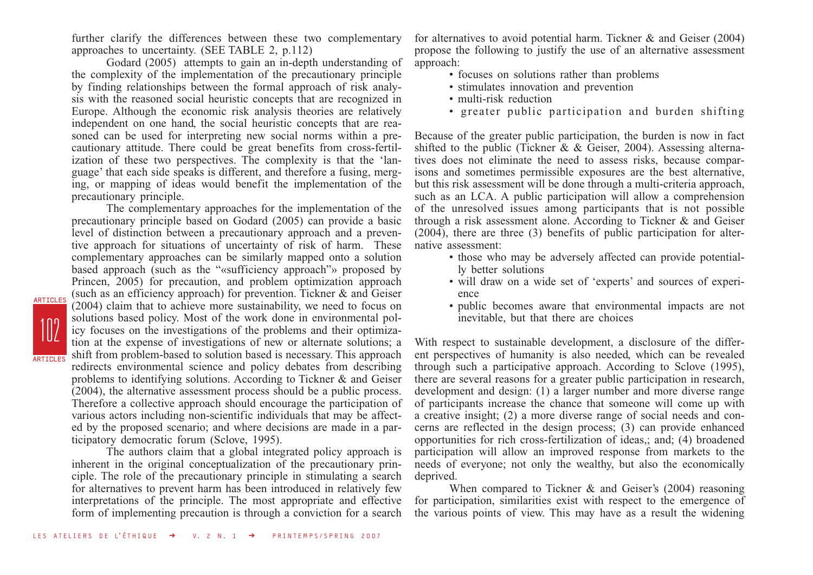further clarify the differences between these two complementary approaches to uncertainty. (SEE TABLE 2, p.112)

Godard (2005) attempts to gain an in-depth understanding of the complexity of the implementation of the precautionary principle by finding relationships between the formal approach of risk analysis with the reasoned social heuristic concepts that are recognized in Europe. Although the economic risk analysis theories are relatively independent on one hand, the social heuristic concepts that are reasoned can be used for interpreting new social norms within a precautionary attitude. There could be great benefits from cross-fertilization of these two perspectives. The complexity is that the 'language' that each side speaks is different, and therefore a fusing, merging, or mapping of ideas would benefit the implementation of the precautionary principle.

The complementary approaches for the implementation of the precautionary principle based on Godard (2005) can provide a basic level of distinction between a precautionary approach and a preventive approach for situations of uncertainty of risk of harm. These complementary approaches can be similarly mapped onto a solution based approach (such as the "«sufficiency approach"» proposed by Princen, 2005) for precaution, and problem optimization approach (such as an efficiency approach) for prevention. Tickner & and Geiser (2004) claim that to achieve more sustainability, we need to focus on solutions based policy. Most of the work done in environmental policy focuses on the investigations of the problems and their optimization at the expense of investigations of new or alternate solutions; a shift from problem-based to solution based is necessary. This approach redirects environmental science and policy debates from describing problems to identifying solutions. According to Tickner & and Geiser (2004), the alternative assessment process should be a public process. Therefore a collective approach should encourage the participation of various actors including non-scientific individuals that may be affected by the proposed scenario; and where decisions are made in a participatory democratic forum (Sclove, 1995).

102

ARTICLES

ARTICLES

The authors claim that a global integrated policy approach is inherent in the original conceptualization of the precautionary principle. The role of the precautionary principle in stimulating a search for alternatives to prevent harm has been introduced in relatively few interpretations of the principle. The most appropriate and effective form of implementing precaution is through a conviction for a search

for alternatives to avoid potential harm. Tickner & and Geiser (2004) propose the following to justify the use of an alternative assessment approach:

- focuses on solutions rather than problems
- stimulates innovation and prevention
- multi-risk reduction
- greater public participation and burden shifting

Because of the greater public participation, the burden is now in fact shifted to the public (Tickner & & Geiser, 2004). Assessing alternatives does not eliminate the need to assess risks, because comparisons and sometimes permissible exposures are the best alternative, but this risk assessment will be done through a multi-criteria approach, such as an LCA. A public participation will allow a comprehension of the unresolved issues among participants that is not possible through a risk assessment alone. According to Tickner & and Geiser (2004), there are three (3) benefits of public participation for alternative assessment:

- those who may be adversely affected can provide potentially better solutions
- will draw on a wide set of 'experts' and sources of experience
- public becomes aware that environmental impacts are not inevitable, but that there are choices

With respect to sustainable development, a disclosure of the different perspectives of humanity is also needed, which can be revealed through such a participative approach. According to Sclove (1995), there are several reasons for a greater public participation in research, development and design: (1) a larger number and more diverse range of participants increase the chance that someone will come up with a creative insight; (2) a more diverse range of social needs and concerns are reflected in the design process; (3) can provide enhanced opportunities for rich cross-fertilization of ideas,; and; (4) broadened participation will allow an improved response from markets to the needs of everyone; not only the wealthy, but also the economically deprived.

When compared to Tickner & and Geiser's (2004) reasoning for participation, similarities exist with respect to the emergence of the various points of view. This may have as a result the widening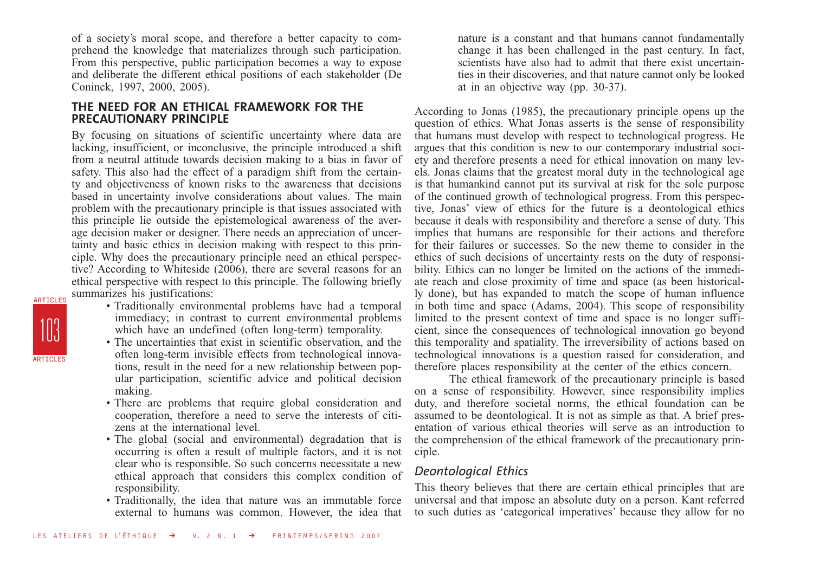of a society's moral scope, and therefore a better capacity to comprehend the knowledge that materializes through such participation. From this perspective, public participation becomes a way to expose and deliberate the different ethical positions of each stakeholder (De Coninck, 1997, 2000, 2005).

### **THE NEED FOR AN ETHICAL FRAMEWORK FOR THE PRECAUTIONARY PRINCIPLE**

By focusing on situations of scientific uncertainty where data are lacking, insufficient, or inconclusive, the principle introduced a shift from a neutral attitude towards decision making to a bias in favor of safety. This also had the effect of a paradigm shift from the certainty and objectiveness of known risks to the awareness that decisions based in uncertainty involve considerations about values. The main problem with the precautionary principle is that issues associated with this principle lie outside the epistemological awareness of the average decision maker or designer. There needs an appreciation of uncertainty and basic ethics in decision making with respect to this principle. Why does the precautionary principle need an ethical perspective? According to Whiteside (2006), there are several reasons for an ethical perspective with respect to this principle. The following briefly summarizes his justifications:

- 103 ARTICLES ARTICLES
- Traditionally environmental problems have had a temporal immediacy; in contrast to current environmental problems which have an undefined (often long-term) temporality.
- The uncertainties that exist in scientific observation, and the often long-term invisible effects from technological innovations, result in the need for a new relationship between popular participation, scientific advice and political decision making.
- There are problems that require global consideration and cooperation, therefore a need to serve the interests of citizens at the international level.
- The global (social and environmental) degradation that is occurring is often a result of multiple factors, and it is not clear who is responsible. So such concerns necessitate a new ethical approach that considers this complex condition of responsibility.
- Traditionally, the idea that nature was an immutable force external to humans was common. However, the idea that

nature is a constant and that humans cannot fundamentally change it has been challenged in the past century. In fact, scientists have also had to admit that there exist uncertainties in their discoveries, and that nature cannot only be looked at in an objective way (pp. 30-37).

According to Jonas (1985), the precautionary principle opens up the question of ethics. What Jonas asserts is the sense of responsibility that humans must develop with respect to technological progress. He argues that this condition is new to our contemporary industrial society and therefore presents a need for ethical innovation on many levels. Jonas claims that the greatest moral duty in the technological age is that humankind cannot put its survival at risk for the sole purpose of the continued growth of technological progress. From this perspective, Jonas' view of ethics for the future is a deontological ethics because it deals with responsibility and therefore a sense of duty. This implies that humans are responsible for their actions and therefore for their failures or successes. So the new theme to consider in the ethics of such decisions of uncertainty rests on the duty of responsibility. Ethics can no longer be limited on the actions of the immediate reach and close proximity of time and space (as been historically done), but has expanded to match the scope of human influence in both time and space (Adams, 2004). This scope of responsibility limited to the present context of time and space is no longer sufficient, since the consequences of technological innovation go beyond this temporality and spatiality. The irreversibility of actions based on technological innovations is a question raised for consideration, and therefore places responsibility at the center of the ethics concern.

The ethical framework of the precautionary principle is based on a sense of responsibility. However, since responsibility implies duty, and therefore societal norms, the ethical foundation can be assumed to be deontological. It is not as simple as that. A brief presentation of various ethical theories will serve as an introduction to the comprehension of the ethical framework of the precautionary principle.

### *Deontological Ethics*

This theory believes that there are certain ethical principles that are universal and that impose an absolute duty on a person. Kant referred to such duties as 'categorical imperatives' because they allow for no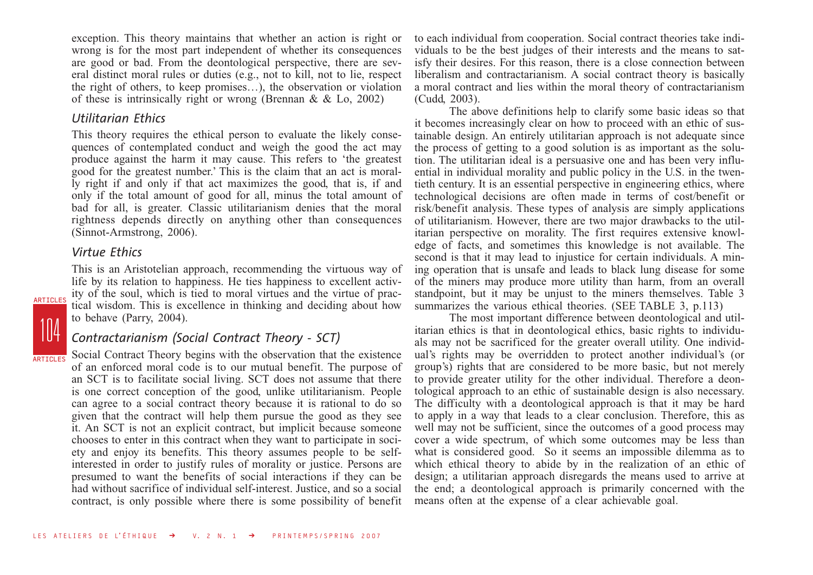exception. This theory maintains that whether an action is right or wrong is for the most part independent of whether its consequences are good or bad. From the deontological perspective, there are several distinct moral rules or duties (e.g., not to kill, not to lie, respect the right of others, to keep promises…), the observation or violation of these is intrinsically right or wrong (Brennan & & Lo, 2002)

### *Utilitarian Ethics*

This theory requires the ethical person to evaluate the likely consequences of contemplated conduct and weigh the good the act may produce against the harm it may cause. This refers to 'the greatest good for the greatest number.' This is the claim that an act is morally right if and only if that act maximizes the good, that is, if and only if the total amount of good for all, minus the total amount of bad for all, is greater. Classic utilitarianism denies that the moral rightness depends directly on anything other than consequences (Sinnot-Armstrong, 2006).

### *Virtue Ethics*

104

ARTICLES

**ARTICLES** 

This is an Aristotelian approach, recommending the virtuous way of life by its relation to happiness. He ties happiness to excellent activity of the soul, which is tied to moral virtues and the virtue of practical wisdom. This is excellence in thinking and deciding about how to behave (Parry, 2004).

### *Contractarianism (Social Contract Theory - SCT)*

Social Contract Theory begins with the observation that the existence of an enforced moral code is to our mutual benefit. The purpose of an SCT is to facilitate social living. SCT does not assume that there is one correct conception of the good, unlike utilitarianism. People can agree to a social contract theory because it is rational to do so given that the contract will help them pursue the good as they see it. An SCT is not an explicit contract, but implicit because someone chooses to enter in this contract when they want to participate in society and enjoy its benefits. This theory assumes people to be selfinterested in order to justify rules of morality or justice. Persons are presumed to want the benefits of social interactions if they can be had without sacrifice of individual self-interest. Justice, and so a social contract, is only possible where there is some possibility of benefit to each individual from cooperation. Social contract theories take individuals to be the best judges of their interests and the means to satisfy their desires. For this reason, there is a close connection between liberalism and contractarianism. A social contract theory is basically a moral contract and lies within the moral theory of contractarianism (Cudd, 2003).

The above definitions help to clarify some basic ideas so that it becomes increasingly clear on how to proceed with an ethic of sustainable design. An entirely utilitarian approach is not adequate since the process of getting to a good solution is as important as the solution. The utilitarian ideal is a persuasive one and has been very influential in individual morality and public policy in the U.S. in the twentieth century. It is an essential perspective in engineering ethics, where technological decisions are often made in terms of cost/benefit or risk/benefit analysis. These types of analysis are simply applications of utilitarianism. However, there are two major drawbacks to the utilitarian perspective on morality. The first requires extensive knowledge of facts, and sometimes this knowledge is not available. The second is that it may lead to injustice for certain individuals. A mining operation that is unsafe and leads to black lung disease for some of the miners may produce more utility than harm, from an overall standpoint, but it may be unjust to the miners themselves. Table 3 summarizes the various ethical theories. (SEE TABLE 3, p.113)

The most important difference between deontological and utilitarian ethics is that in deontological ethics, basic rights to individuals may not be sacrificed for the greater overall utility. One individual's rights may be overridden to protect another individual's (or group's) rights that are considered to be more basic, but not merely to provide greater utility for the other individual. Therefore a deontological approach to an ethic of sustainable design is also necessary. The difficulty with a deontological approach is that it may be hard to apply in a way that leads to a clear conclusion. Therefore, this as well may not be sufficient, since the outcomes of a good process may cover a wide spectrum, of which some outcomes may be less than what is considered good. So it seems an impossible dilemma as to which ethical theory to abide by in the realization of an ethic of design; a utilitarian approach disregards the means used to arrive at the end; a deontological approach is primarily concerned with the means often at the expense of a clear achievable goal.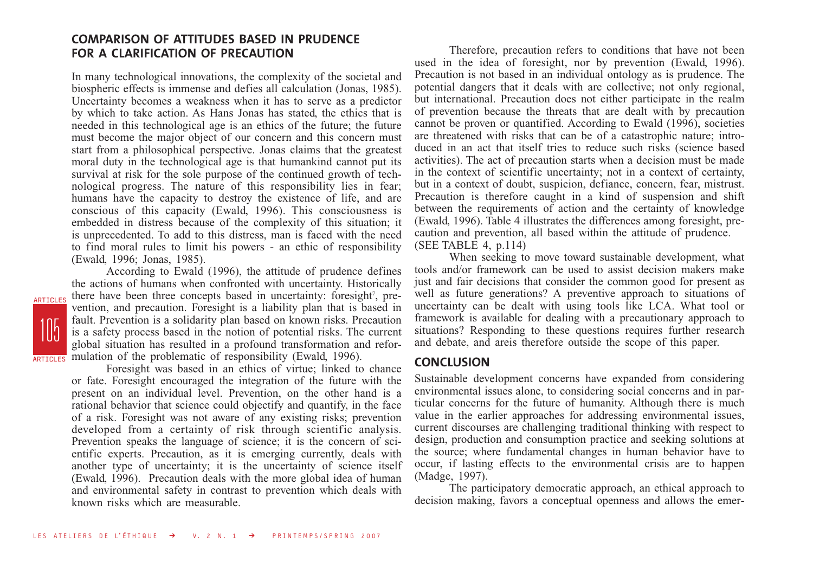### **COMPARISON OF ATTITUDES BASED IN PRUDENCE FOR A CLARIFICATION OF PRECAUTION**

In many technological innovations, the complexity of the societal and biospheric effects is immense and defies all calculation (Jonas, 1985). Uncertainty becomes a weakness when it has to serve as a predictor by which to take action. As Hans Jonas has stated, the ethics that is needed in this technological age is an ethics of the future; the future must become the major object of our concern and this concern must start from a philosophical perspective. Jonas claims that the greatest moral duty in the technological age is that humankind cannot put its survival at risk for the sole purpose of the continued growth of technological progress. The nature of this responsibility lies in fear; humans have the capacity to destroy the existence of life, and are conscious of this capacity (Ewald, 1996). This consciousness is embedded in distress because of the complexity of this situation; it is unprecedented. To add to this distress, man is faced with the need to find moral rules to limit his powers - an ethic of responsibility (Ewald, 1996; Jonas, 1985).

According to Ewald (1996), the attitude of prudence defines the actions of humans when confronted with uncertainty. Historically there have been three concepts based in uncertainty: foresight<sup>7</sup>, prevention, and precaution. Foresight is a liability plan that is based in fault. Prevention is a solidarity plan based on known risks. Precaution is a safety process based in the notion of potential risks. The current global situation has resulted in a profound transformation and reformulation of the problematic of responsibility (Ewald, 1996). **ARTICLES** ARTICLES

105

Foresight was based in an ethics of virtue; linked to chance or fate. Foresight encouraged the integration of the future with the present on an individual level. Prevention, on the other hand is a rational behavior that science could objectify and quantify, in the face of a risk. Foresight was not aware of any existing risks; prevention developed from a certainty of risk through scientific analysis. Prevention speaks the language of science; it is the concern of scientific experts. Precaution, as it is emerging currently, deals with another type of uncertainty; it is the uncertainty of science itself (Ewald, 1996). Precaution deals with the more global idea of human and environmental safety in contrast to prevention which deals with known risks which are measurable.

Therefore, precaution refers to conditions that have not been used in the idea of foresight, nor by prevention (Ewald, 1996). Precaution is not based in an individual ontology as is prudence. The potential dangers that it deals with are collective; not only regional, but international. Precaution does not either participate in the realm of prevention because the threats that are dealt with by precaution cannot be proven or quantified. According to Ewald (1996), societies are threatened with risks that can be of a catastrophic nature; introduced in an act that itself tries to reduce such risks (science based activities). The act of precaution starts when a decision must be made in the context of scientific uncertainty; not in a context of certainty, but in a context of doubt, suspicion, defiance, concern, fear, mistrust. Precaution is therefore caught in a kind of suspension and shift between the requirements of action and the certainty of knowledge (Ewald, 1996). Table 4 illustrates the differences among foresight, precaution and prevention, all based within the attitude of prudence. (SEE TABLE 4, p.114)

When seeking to move toward sustainable development, what tools and/or framework can be used to assist decision makers make just and fair decisions that consider the common good for present as well as future generations? A preventive approach to situations of uncertainty can be dealt with using tools like LCA. What tool or framework is available for dealing with a precautionary approach to situations? Responding to these questions requires further research and debate, and areis therefore outside the scope of this paper.

### **CONCLUSION**

Sustainable development concerns have expanded from considering environmental issues alone, to considering social concerns and in particular concerns for the future of humanity. Although there is much value in the earlier approaches for addressing environmental issues, current discourses are challenging traditional thinking with respect to design, production and consumption practice and seeking solutions at the source; where fundamental changes in human behavior have to occur, if lasting effects to the environmental crisis are to happen (Madge, 1997).

The participatory democratic approach, an ethical approach to decision making, favors a conceptual openness and allows the emer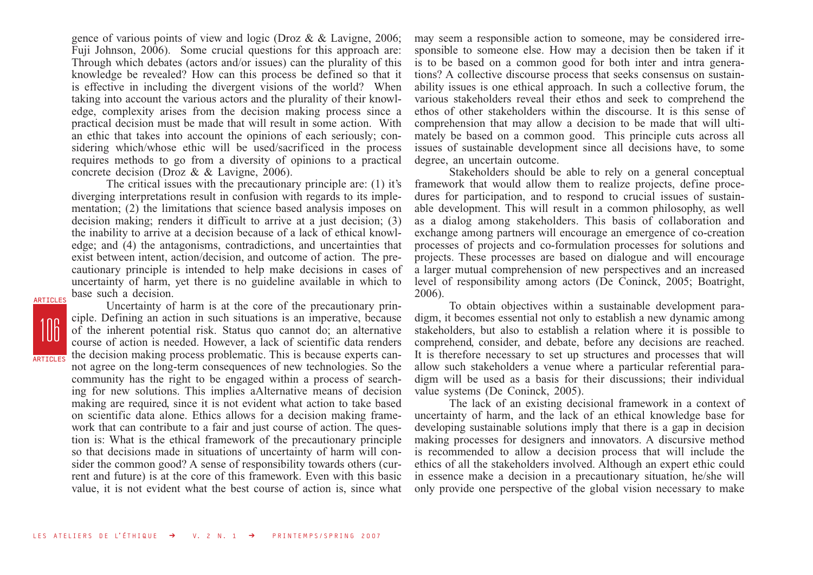gence of various points of view and logic (Droz & & Lavigne, 2006; Fuji Johnson, 2006). Some crucial questions for this approach are: Through which debates (actors and/or issues) can the plurality of this knowledge be revealed? How can this process be defined so that it is effective in including the divergent visions of the world? When taking into account the various actors and the plurality of their knowledge, complexity arises from the decision making process since a practical decision must be made that will result in some action. With an ethic that takes into account the opinions of each seriously; considering which/whose ethic will be used/sacrificed in the process requires methods to go from a diversity of opinions to a practical concrete decision (Droz & & Lavigne, 2006).

The critical issues with the precautionary principle are: (1) it's diverging interpretations result in confusion with regards to its implementation; (2) the limitations that science based analysis imposes on decision making; renders it difficult to arrive at a just decision; (3) the inability to arrive at a decision because of a lack of ethical knowledge; and (4) the antagonisms, contradictions, and uncertainties that exist between intent, action/decision, and outcome of action. The precautionary principle is intended to help make decisions in cases of uncertainty of harm, yet there is no guideline available in which to base such a decision.

106 **ARTICLES** 

ARTICLES

Uncertainty of harm is at the core of the precautionary principle. Defining an action in such situations is an imperative, because of the inherent potential risk. Status quo cannot do; an alternative course of action is needed. However, a lack of scientific data renders the decision making process problematic. This is because experts cannot agree on the long-term consequences of new technologies. So the community has the right to be engaged within a process of searching for new solutions. This implies aAlternative means of decision making are required, since it is not evident what action to take based on scientific data alone. Ethics allows for a decision making framework that can contribute to a fair and just course of action. The question is: What is the ethical framework of the precautionary principle so that decisions made in situations of uncertainty of harm will consider the common good? A sense of responsibility towards others (current and future) is at the core of this framework. Even with this basic value, it is not evident what the best course of action is, since what may seem a responsible action to someone, may be considered irresponsible to someone else. How may a decision then be taken if it is to be based on a common good for both inter and intra generations? A collective discourse process that seeks consensus on sustainability issues is one ethical approach. In such a collective forum, the various stakeholders reveal their ethos and seek to comprehend the ethos of other stakeholders within the discourse. It is this sense of comprehension that may allow a decision to be made that will ultimately be based on a common good. This principle cuts across all issues of sustainable development since all decisions have, to some degree, an uncertain outcome.

Stakeholders should be able to rely on a general conceptual framework that would allow them to realize projects, define procedures for participation, and to respond to crucial issues of sustainable development. This will result in a common philosophy, as well as a dialog among stakeholders. This basis of collaboration and exchange among partners will encourage an emergence of co-creation processes of projects and co-formulation processes for solutions and projects. These processes are based on dialogue and will encourage a larger mutual comprehension of new perspectives and an increased level of responsibility among actors (De Coninck, 2005; Boatright, 2006).

To obtain objectives within a sustainable development paradigm, it becomes essential not only to establish a new dynamic among stakeholders, but also to establish a relation where it is possible to comprehend, consider, and debate, before any decisions are reached. It is therefore necessary to set up structures and processes that will allow such stakeholders a venue where a particular referential paradigm will be used as a basis for their discussions; their individual value systems (De Coninck, 2005).

The lack of an existing decisional framework in a context of uncertainty of harm, and the lack of an ethical knowledge base for developing sustainable solutions imply that there is a gap in decision making processes for designers and innovators. A discursive method is recommended to allow a decision process that will include the ethics of all the stakeholders involved. Although an expert ethic could in essence make a decision in a precautionary situation, he/she will only provide one perspective of the global vision necessary to make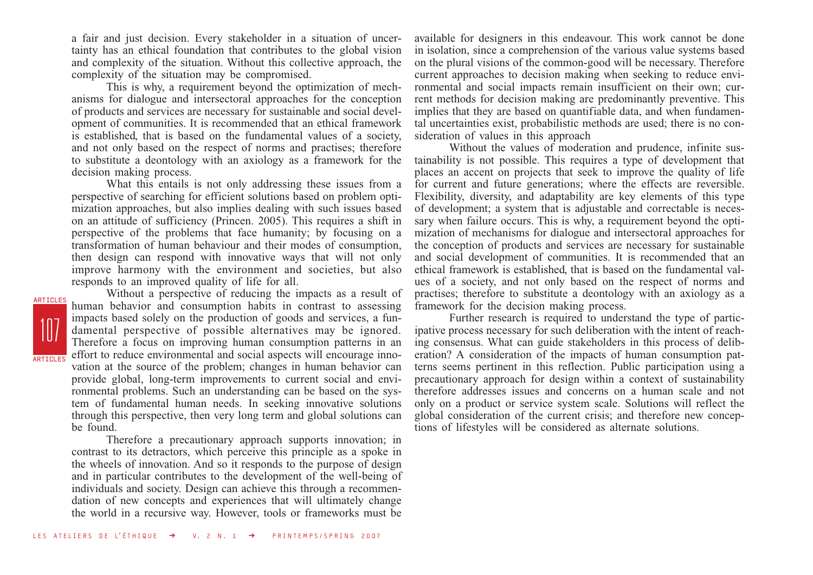a fair and just decision. Every stakeholder in a situation of uncertainty has an ethical foundation that contributes to the global vision and complexity of the situation. Without this collective approach, the complexity of the situation may be compromised.

This is why, a requirement beyond the optimization of mechanisms for dialogue and intersectoral approaches for the conception of products and services are necessary for sustainable and social development of communities. It is recommended that an ethical framework is established, that is based on the fundamental values of a society, and not only based on the respect of norms and practises; therefore to substitute a deontology with an axiology as a framework for the decision making process.

What this entails is not only addressing these issues from a perspective of searching for efficient solutions based on problem optimization approaches, but also implies dealing with such issues based on an attitude of sufficiency (Princen. 2005). This requires a shift in perspective of the problems that face humanity; by focusing on a transformation of human behaviour and their modes of consumption, then design can respond with innovative ways that will not only improve harmony with the environment and societies, but also responds to an improved quality of life for all.

107 **ARTICLES** ARTICLES

Without a perspective of reducing the impacts as a result of human behavior and consumption habits in contrast to assessing impacts based solely on the production of goods and services, a fundamental perspective of possible alternatives may be ignored. Therefore a focus on improving human consumption patterns in an effort to reduce environmental and social aspects will encourage innovation at the source of the problem; changes in human behavior can provide global, long-term improvements to current social and environmental problems. Such an understanding can be based on the system of fundamental human needs. In seeking innovative solutions through this perspective, then very long term and global solutions can be found.

Therefore a precautionary approach supports innovation; in contrast to its detractors, which perceive this principle as a spoke in the wheels of innovation. And so it responds to the purpose of design and in particular contributes to the development of the well-being of individuals and society. Design can achieve this through a recommendation of new concepts and experiences that will ultimately change the world in a recursive way. However, tools or frameworks must be

available for designers in this endeavour. This work cannot be done in isolation, since a comprehension of the various value systems based on the plural visions of the common-good will be necessary. Therefore current approaches to decision making when seeking to reduce environmental and social impacts remain insufficient on their own; current methods for decision making are predominantly preventive. This implies that they are based on quantifiable data, and when fundamental uncertainties exist, probabilistic methods are used; there is no consideration of values in this approach

Without the values of moderation and prudence, infinite sustainability is not possible. This requires a type of development that places an accent on projects that seek to improve the quality of life for current and future generations; where the effects are reversible. Flexibility, diversity, and adaptability are key elements of this type of development; a system that is adjustable and correctable is necessary when failure occurs. This is why, a requirement beyond the optimization of mechanisms for dialogue and intersectoral approaches for the conception of products and services are necessary for sustainable and social development of communities. It is recommended that an ethical framework is established, that is based on the fundamental values of a society, and not only based on the respect of norms and practises; therefore to substitute a deontology with an axiology as a framework for the decision making process.

Further research is required to understand the type of participative process necessary for such deliberation with the intent of reaching consensus. What can guide stakeholders in this process of deliberation? A consideration of the impacts of human consumption patterns seems pertinent in this reflection. Public participation using a precautionary approach for design within a context of sustainability therefore addresses issues and concerns on a human scale and not only on a product or service system scale. Solutions will reflect the global consideration of the current crisis; and therefore new conceptions of lifestyles will be considered as alternate solutions.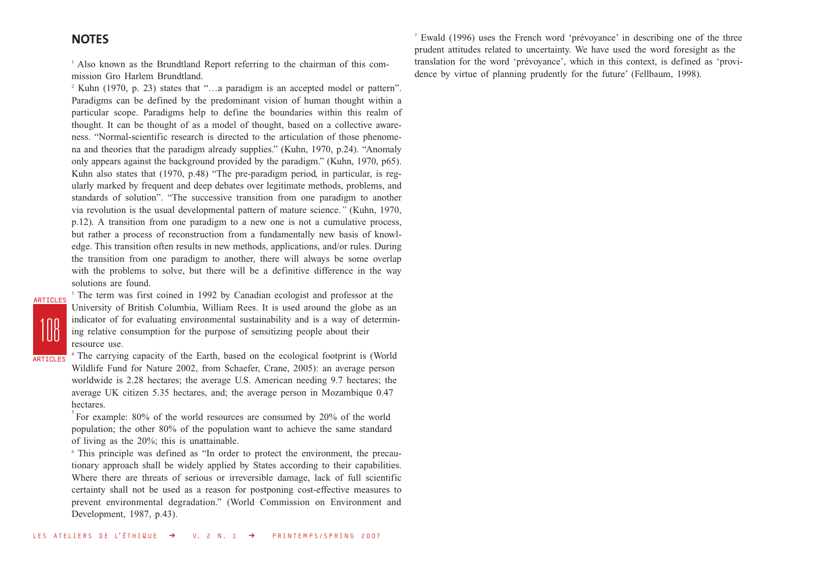### **NOTES**

<sup>1</sup> Also known as the Brundtland Report referring to the chairman of this commission Gro Harlem Brundtland.

<sup>2</sup> Kuhn (1970, p. 23) states that "…a paradigm is an accepted model or pattern". Paradigms can be defined by the predominant vision of human thought within a particular scope. Paradigms help to define the boundaries within this realm of thought. It can be thought of as a model of thought, based on a collective awareness. "Normal-scientific research is directed to the articulation of those phenomena and theories that the paradigm already supplies." (Kuhn, 1970, p.24). "Anomaly only appears against the background provided by the paradigm." (Kuhn, 1970, p65). Kuhn also states that (1970, p.48) "The pre-paradigm period, in particular, is regularly marked by frequent and deep debates over legitimate methods, problems, and standards of solution". "The successive transition from one paradigm to another via revolution is the usual developmental pattern of mature science.*"* (Kuhn, 1970, p.12). A transition from one paradigm to a new one is not a cumulative process, but rather a process of reconstruction from a fundamentally new basis of knowledge. This transition often results in new methods, applications, and/or rules. During the transition from one paradigm to another, there will always be some overlap with the problems to solve, but there will be a definitive difference in the way solutions are found.

108 ARTICLES

<sup>3</sup> The term was first coined in 1992 by Canadian ecologist and professor at the University of British Columbia, William Rees. It is used around the globe as an indicator of for evaluating environmental sustainability and is a way of determining relative consumption for the purpose of sensitizing people about their resource use.

**ARTICLES** 

<sup>4</sup> The carrying capacity of the Earth, based on the ecological footprint is (World Wildlife Fund for Nature 2002, from Schaefer, Crane, 2005): an average person worldwide is 2.28 hectares; the average U.S. American needing 9.7 hectares; the average UK citizen 5.35 hectares, and; the average person in Mozambique 0.47 hectares.

 $5$  For example: 80% of the world resources are consumed by 20% of the world population; the other 80% of the population want to achieve the same standard of living as the 20%; this is unattainable.

<sup>6</sup> This principle was defined as "In order to protect the environment, the precautionary approach shall be widely applied by States according to their capabilities. Where there are threats of serious or irreversible damage, lack of full scientific certainty shall not be used as a reason for postponing cost-effective measures to prevent environmental degradation." (World Commission on Environment and Development, 1987, p.43).

<sup>7</sup> Ewald (1996) uses the French word 'prévoyance' in describing one of the three prudent attitudes related to uncertainty. We have used the word foresight as the translation for the word 'prévoyance', which in this context, is defined as 'providence by virtue of planning prudently for the future' (Fellbaum, 1998).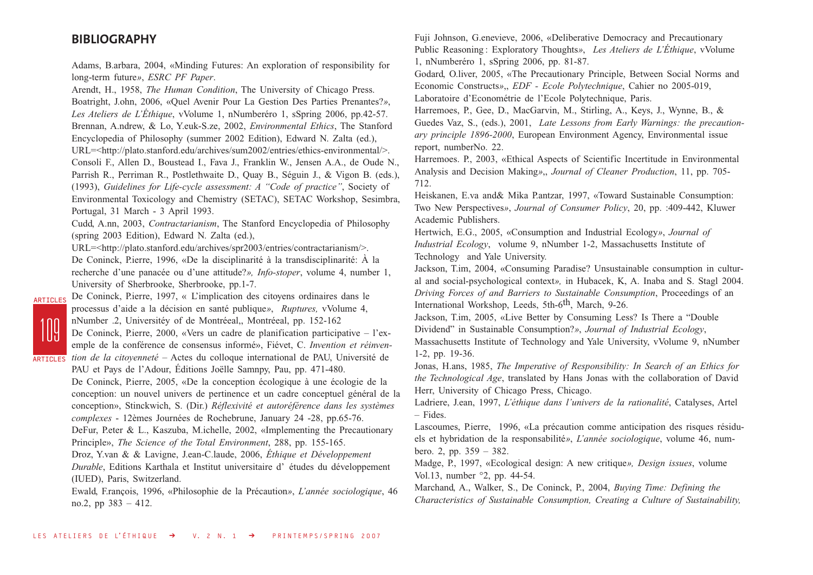#### **BIBLIOGRAPHY**

Adams, B.arbara, 2004, «Minding Futures: An exploration of responsibility for long-term future*»*, *ESRC PF Paper*. Arendt, H., 1958, *The Human Condition*, The University of Chicago Press.

Boatright, J.ohn, 2006, «Quel Avenir Pour La Gestion Des Parties Prenantes?*»*, *Les Ateliers de L'Éthique*, vVolume 1, nNumberéro 1, sSpring 2006, pp.42-57. Brennan, A.ndrew, & Lo, Y.euk-S.ze, 2002, *Environmental Ethics*, The Stanford Encyclopedia of Philosophy (summer 2002 Edition), Edward N. Zalta (ed.),

URL=<http://plato.stanford.edu/archives/sum2002/entries/ethics-environmental/>.

Consoli F., Allen D., Boustead I., Fava J., Franklin W., Jensen A.A., de Oude N., Parrish R., Perriman R., Postlethwaite D., Quay B., Séguin J., & Vigon B. (eds.), (1993), *Guidelines for Life-cycle assessment: A "Code of practice"*, Society of Environmental Toxicology and Chemistry (SETAC), SETAC Workshop, Sesimbra, Portugal, 31 March - 3 April 1993.

Cudd, A.nn, 2003, *Contractarianism*, The Stanford Encyclopedia of Philosophy (spring 2003 Edition), Edward N. Zalta (ed.),

URL=<http://plato.stanford.edu/archives/spr2003/entries/contractarianism/>.

De Coninck, P.ierre, 1996, «De la disciplinarité à la transdisciplinarité: À la recherche d'une panacée ou d'une attitude?*», Info-stoper*, volume 4, number 1, University of Sherbrooke, Sherbrooke, pp.1-7.

ARTICLES

De Coninck, P.ierre, 1997, « L'implication des citoyens ordinaires dans le processus d'aide a la décision en santé publique*»*, *Ruptures,* vVolume 4, nNumber .2, Universitéy of de Montréeal,, Montréeal, pp. 152-162

109 **ARTICLES** 

De Coninck, P.ierre, 2000, «Vers un cadre de planification participative – l'exemple de la conférence de consensus informé», Fiévet, C. *Invention et réinvention de la citoyenneté* – Actes du colloque international de PAU, Université de

PAU et Pays de l'Adour, Éditions Joëlle Samnpy, Pau, pp. 471-480. De Coninck, P.ierre, 2005, «De la conception écologique à une écologie de la conception: un nouvel univers de pertinence et un cadre conceptuel général de la

conception», Stinckwich, S. (Dir.) *Réflexivité et autoréférence dans les systèmes complexes* - 12èmes Journées de Rochebrune, January 24 -28, pp.65-76.

DeFur, P.eter & L., Kaszuba, M.ichelle, 2002, «Implementing the Precautionary

Principle», *The Science of the Total Environment*, 288, pp. 155-165. Droz, Y.van & & Lavigne, J.ean-C.laude, 2006, *Éthique et Développement*

*Durable*, Editions Karthala et Institut universitaire d' études du développement (IUED), Paris, Switzerland.

Ewald, F.rançois, 1996, «Philosophie de la Précaution*»*, *L'année sociologique*, 46 no.2, pp 383 – 412.

Fuji Johnson, G.enevieve, 2006, «Deliberative Democracy and Precautionary Public Reasoning : Exploratory Thoughts*»*, *Les Ateliers de L'Éthique*, vVolume 1, nNumberéro 1, sSpring 2006, pp. 81-87.

Godard, O.liver, 2005, «The Precautionary Principle, Between Social Norms and Economic Constructs*»*,, *EDF - Ecole Polytechnique*, Cahier no 2005-019, Laboratoire d'Econométrie de l'Ecole Polytechnique, Paris.

Harremoes, P., Gee, D., MacGarvin, M., Stirling, A., Keys, J., Wynne, B., & Guedes Vaz, S., (eds.), 2001, *Late Lessons from Early Warnings: the precautionary principle 1896-2000*, European Environment Agency, Environmental issue report, numberNo. 22.

Harremoes. P., 2003, «Ethical Aspects of Scientific Incertitude in Environmental Analysis and Decision Making*»*,, *Journal of Cleaner Production*, 11, pp. 705- 712.

Heiskanen, E.va and& Mika P.antzar, 1997, «Toward Sustainable Consumption: Two New Perspectives*»*, *Journal of Consumer Policy*, 20, pp. :409-442, Kluwer Academic Publishers.

Hertwich, E.G., 2005, «Consumption and Industrial Ecology*»*, *Journal of Industrial Ecology*, volume 9, nNumber 1-2, Massachusetts Institute of Technology and Yale University.

Jackson, T.im, 2004, «Consuming Paradise? Unsustainable consumption in cultural and social-psychological context*»,* in Hubacek, K, A. Inaba and S. Stagl 2004. *Driving Forces of and Barriers to Sustainable Consumption*, Proceedings of an International Workshop, Leeds, 5th-6<sup>th</sup>, March, 9-26.

Jackson, T.im, 2005, «Live Better by Consuming Less? Is There a "Double Dividend" in Sustainable Consumption?*»*, *Journal of Industrial Ecology*, Massachusetts Institute of Technology and Yale University, vVolume 9, nNumber 1-2, pp. 19-36.

Jonas, H.ans, 1985, *The Imperative of Responsibility: In Search of an Ethics for the Technological Age*, translated by Hans Jonas with the collaboration of David Herr, University of Chicago Press, Chicago.

Ladriere, J.ean, 1997, *L'éthique dans l'univers de la rationalité*, Catalyses, Artel – Fides.

Lascoumes, P.ierre, 1996, «La précaution comme anticipation des risques résiduels et hybridation de la responsabilité*»*, *L'année sociologique*, volume 46, numbero. 2, pp. 359 – 382.

Madge, P., 1997, «Ecological design: A new critique*», Design issues*, volume Vol.13, number °2, pp. 44-54.

Marchand, A., Walker, S., De Coninck, P., 2004, *Buying Time: Defining the Characteristics of Sustainable Consumption, Creating a Culture of Sustainability,*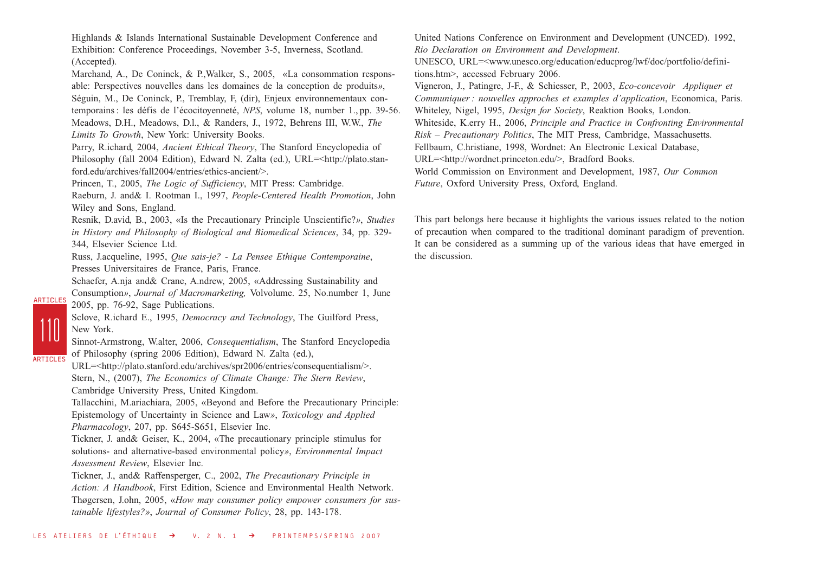Highlands & Islands International Sustainable Development Conference and Exhibition: Conference Proceedings, November 3-5, Inverness, Scotland. (Accepted).

Marchand, A., De Coninck, & P.,Walker, S., 2005, «La consommation responsable: Perspectives nouvelles dans les domaines de la conception de produits*»*, Séguin, M., De Coninck, P., Tremblay, F, (dir), Enjeux environnementaux contemporains : les défis de l'écocitoyenneté, *NPS*, volume 18, number 1., pp. 39-56. Meadows, D.H., Meadows, D.l., & Randers, J., 1972, Behrens III, W.W., *The Limits To Growth*, New York: University Books.

Parry, R.ichard, 2004, *Ancient Ethical Theory*, The Stanford Encyclopedia of Philosophy (fall 2004 Edition), Edward N. Zalta (ed.), URL=<http://plato.stanford.edu/archives/fall2004/entries/ethics-ancient/>.

Princen, T., 2005, *The Logic of Sufficiency*, MIT Press: Cambridge.

Raeburn, J. and& I. Rootman I., 1997, *People-Centered Health Promotion*, John Wiley and Sons, England.

Resnik, D.avid, B., 2003, «Is the Precautionary Principle Unscientific?*»*, *Studies in History and Philosophy of Biological and Biomedical Sciences*, 34, pp. 329- 344, Elsevier Science Ltd.

Russ, J.acqueline, 1995, *Que sais-je? - La Pensee Ethique Contemporaine*, Presses Universitaires de France, Paris, France.

Schaefer, A.nja and& Crane, A.ndrew, 2005, «Addressing Sustainability and Consumption*»*, *Journal of Macromarketing,* Volvolume. 25, No.number 1, June 2005, pp. 76-92, Sage Publications.

Sclove, R.ichard E., 1995, *Democracy and Technology*, The Guilford Press, New York.

110

ARTICLES

ARTICLES

Sinnot-Armstrong, W.alter, 2006, *Consequentialism*, The Stanford Encyclopedia of Philosophy (spring 2006 Edition), Edward N. Zalta (ed.),

URL=<http://plato.stanford.edu/archives/spr2006/entries/consequentialism/>. Stern, N., (2007), *The Economics of Climate Change: The Stern Review*, Cambridge University Press, United Kingdom.

Tallacchini, M.ariachiara, 2005, «Beyond and Before the Precautionary Principle: Epistemology of Uncertainty in Science and Law*»*, *Toxicology and Applied Pharmacology*, 207, pp. S645-S651, Elsevier Inc.

Tickner, J. and& Geiser, K., 2004, «The precautionary principle stimulus for solutions- and alternative-based environmental policy*»*, *Environmental Impact Assessment Review*, Elsevier Inc.

Tickner, J., and& Raffensperger, C., 2002, *The Precautionary Principle in Action: A Handbook*, First Edition, Science and Environmental Health Network. Thøgersen, J.ohn, 2005, «*How may consumer policy empower consumers for sustainable lifestyles?»*, *Journal of Consumer Policy*, 28, pp. 143-178.

United Nations Conference on Environment and Development (UNCED). 1992, *Rio Declaration on Environment and Development*. UNESCO, URL=<www.unesco.org/education/educprog/lwf/doc/portfolio/definitions.htm>, accessed February 2006. Vigneron, J., Patingre, J-F., & Schiesser, P., 2003, *Eco-concevoir Appliquer et Communiquer : nouvelles approches et examples d'application*, Economica, Paris. Whiteley, Nigel, 1995, *Design for Society*, Reaktion Books, London. Whiteside, K.erry H., 2006, *Principle and Practice in Confronting Environmental Risk – Precautionary Politics*, The MIT Press, Cambridge, Massachusetts. Fellbaum, C.hristiane, 1998, Wordnet: An Electronic Lexical Database, URL=<http://wordnet.princeton.edu/>, Bradford Books. World Commission on Environment and Development, 1987, *Our Common Future*, Oxford University Press, Oxford, England.

This part belongs here because it highlights the various issues related to the notion of precaution when compared to the traditional dominant paradigm of prevention. It can be considered as a summing up of the various ideas that have emerged in the discussion.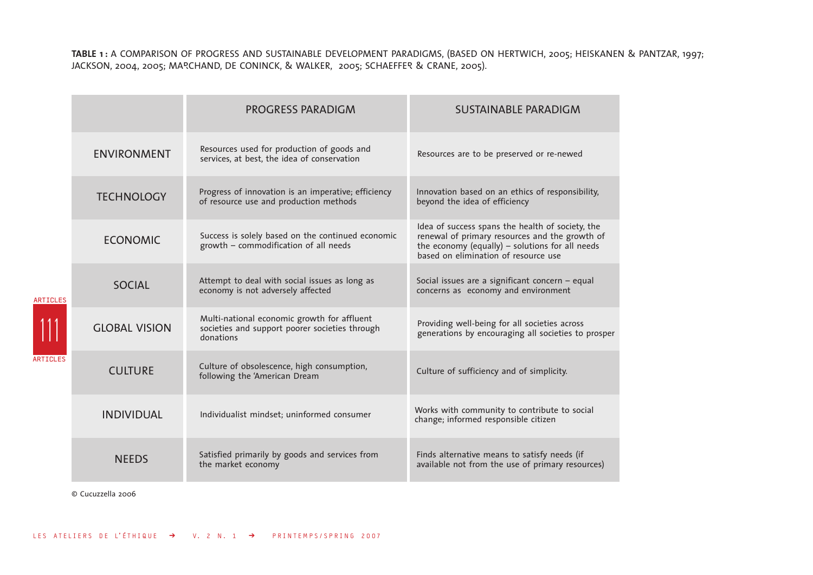**TABLE 1 :** A COMPARISON OF PROGRESS AND SUSTAINABLE DEVELOPMENT PARADIGMS, (BASED ON HERTWICH, 2005; HEISKANEN & PANTZAR, 1997; JACKSON, 2004, 2005; MARCHAND, DE CONINCK, & WALKER, 2005; SCHAEFFER & CRANE, 2005).

|                                    |                      | <b>PROGRESS PARADIGM</b>                                                                                   | <b>SUSTAINABLE PARADIGM</b>                                                                                                                                                                   |
|------------------------------------|----------------------|------------------------------------------------------------------------------------------------------------|-----------------------------------------------------------------------------------------------------------------------------------------------------------------------------------------------|
| <b>ARTICLES</b><br><b>ARTICLES</b> | <b>ENVIRONMENT</b>   | Resources used for production of goods and<br>services, at best, the idea of conservation                  | Resources are to be preserved or re-newed                                                                                                                                                     |
|                                    | <b>TECHNOLOGY</b>    | Progress of innovation is an imperative; efficiency<br>of resource use and production methods              | Innovation based on an ethics of responsibility,<br>beyond the idea of efficiency                                                                                                             |
|                                    | <b>ECONOMIC</b>      | Success is solely based on the continued economic<br>growth - commodification of all needs                 | Idea of success spans the health of society, the<br>renewal of primary resources and the growth of<br>the economy (equally) - solutions for all needs<br>based on elimination of resource use |
|                                    | <b>SOCIAL</b>        | Attempt to deal with social issues as long as<br>economy is not adversely affected                         | Social issues are a significant concern - equal<br>concerns as economy and environment                                                                                                        |
|                                    | <b>GLOBAL VISION</b> | Multi-national economic growth for affluent<br>societies and support poorer societies through<br>donations | Providing well-being for all societies across<br>generations by encouraging all societies to prosper                                                                                          |
|                                    | <b>CULTURE</b>       | Culture of obsolescence, high consumption,<br>following the 'American Dream                                | Culture of sufficiency and of simplicity.                                                                                                                                                     |
|                                    | <b>INDIVIDUAL</b>    | Individualist mindset; uninformed consumer                                                                 | Works with community to contribute to social<br>change; informed responsible citizen                                                                                                          |
|                                    | <b>NEEDS</b>         | Satisfied primarily by goods and services from<br>the market economy                                       | Finds alternative means to satisfy needs (if<br>available not from the use of primary resources)                                                                                              |

© Cucuzzella 2006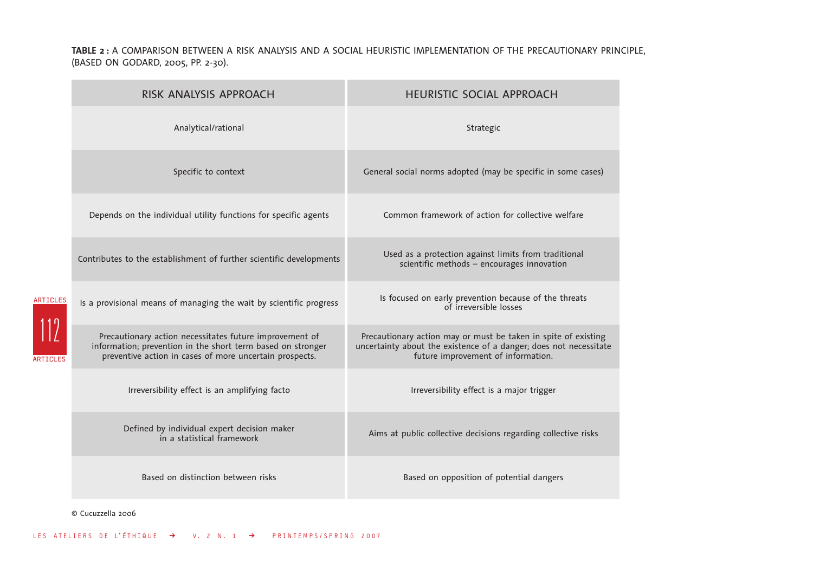**TABLE 2 :** A COMPARISON BETWEEN A RISK ANALYSIS AND A SOCIAL HEURISTIC IMPLEMENTATION OF THE PRECAUTIONARY PRINCIPLE, (BASED ON GODARD, 2005, PP. 2-30).

|                                    | RISK ANALYSIS APPROACH                                                                                                                                                            | <b>HEURISTIC SOCIAL APPROACH</b>                                                                                                                                          |  |
|------------------------------------|-----------------------------------------------------------------------------------------------------------------------------------------------------------------------------------|---------------------------------------------------------------------------------------------------------------------------------------------------------------------------|--|
| <b>ARTICLES</b><br><b>ARTICLES</b> | Analytical/rational                                                                                                                                                               | Strategic                                                                                                                                                                 |  |
|                                    | Specific to context                                                                                                                                                               | General social norms adopted (may be specific in some cases)                                                                                                              |  |
|                                    | Depends on the individual utility functions for specific agents                                                                                                                   | Common framework of action for collective welfare                                                                                                                         |  |
|                                    | Contributes to the establishment of further scientific developments                                                                                                               | Used as a protection against limits from traditional<br>scientific methods - encourages innovation                                                                        |  |
|                                    | Is a provisional means of managing the wait by scientific progress                                                                                                                | Is focused on early prevention because of the threats<br>of irreversible losses                                                                                           |  |
|                                    | Precautionary action necessitates future improvement of<br>information; prevention in the short term based on stronger<br>preventive action in cases of more uncertain prospects. | Precautionary action may or must be taken in spite of existing<br>uncertainty about the existence of a danger; does not necessitate<br>future improvement of information. |  |
|                                    | Irreversibility effect is an amplifying facto                                                                                                                                     | Irreversibility effect is a major trigger                                                                                                                                 |  |
|                                    | Defined by individual expert decision maker<br>in a statistical framework                                                                                                         | Aims at public collective decisions regarding collective risks                                                                                                            |  |
|                                    | Based on distinction between risks                                                                                                                                                | Based on opposition of potential dangers                                                                                                                                  |  |

© Cucuzzella 2006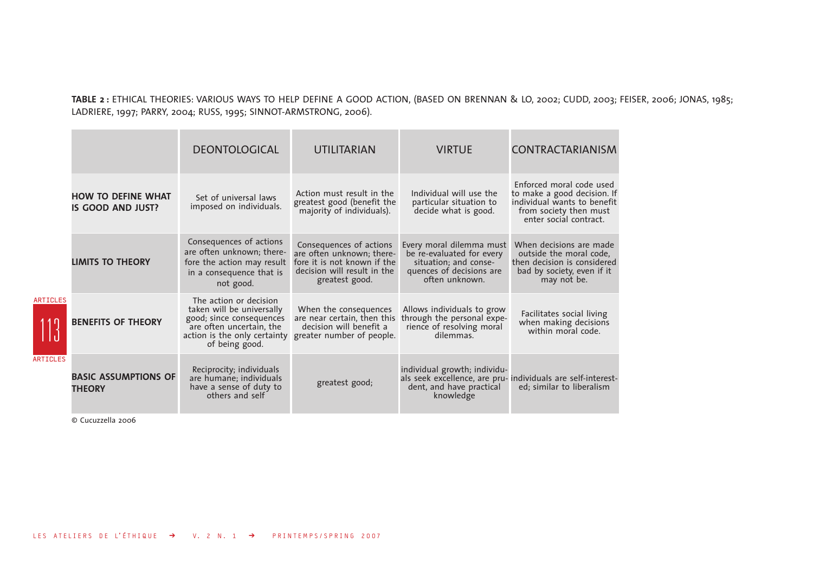**TABLE 2 :** ETHICAL THEORIES: VARIOUS WAYS TO HELP DEFINE A GOOD ACTION, (BASED ON BRENNAN & LO, 2002; CUDD, 2003; FEISER, 2006; JONAS, 1985; LADRIERE, 1997; PARRY, 2004; RUSS, 1995; SINNOT-ARMSTRONG, 2006).

|                                    |                                                | <b>DEONTOLOGICAL</b>                                                                                                                                          | <b>UTILITARIAN</b>                                                                                                                   | <b>VIRTUE</b>                                                                                                                         | <b>CONTRACTARIANISM</b>                                                                                                                    |
|------------------------------------|------------------------------------------------|---------------------------------------------------------------------------------------------------------------------------------------------------------------|--------------------------------------------------------------------------------------------------------------------------------------|---------------------------------------------------------------------------------------------------------------------------------------|--------------------------------------------------------------------------------------------------------------------------------------------|
| <b>ARTICLES</b><br><b>ARTICLES</b> | <b>HOW TO DEFINE WHAT</b><br>IS GOOD AND JUST? | Set of universal laws<br>imposed on individuals.                                                                                                              | Action must result in the<br>greatest good (benefit the<br>majority of individuals).                                                 | Individual will use the<br>particular situation to<br>decide what is good.                                                            | Enforced moral code used<br>to make a good decision. If<br>individual wants to benefit<br>from society then must<br>enter social contract. |
|                                    | <b>LIMITS TO THEORY</b>                        | Consequences of actions<br>are often unknown; there-<br>fore the action may result<br>in a consequence that is<br>not good.                                   | Consequences of actions<br>are often unknown; there-<br>fore it is not known if the<br>decision will result in the<br>greatest good. | Every moral dilemma must<br>be re-evaluated for every<br>situation; and conse-<br>quences of decisions are<br>often unknown.          | When decisions are made<br>outside the moral code,<br>then decision is considered<br>bad by society, even if it<br>may not be.             |
|                                    | <b>BENEFITS OF THEORY</b>                      | The action or decision<br>taken will be universally<br>good; since consequences<br>are often uncertain, the<br>action is the only certainty<br>of being good. | When the consequences<br>are near certain, then this<br>decision will benefit a<br>greater number of people.                         | Allows individuals to grow<br>through the personal experience of resolving moral<br>dilemmas.                                         | Facilitates social living<br>when making decisions<br>within moral code.                                                                   |
|                                    | <b>BASIC ASSUMPTIONS OF</b><br><b>THEORY</b>   | Reciprocity; individuals<br>are humane; individuals<br>have a sense of duty to<br>others and self                                                             | greatest good;                                                                                                                       | individual growth; individu-<br>als seek excellence, are pru- individuals are self-interest-<br>dent, and have practical<br>knowledge | ed; similar to liberalism                                                                                                                  |

© Cucuzzella 2006